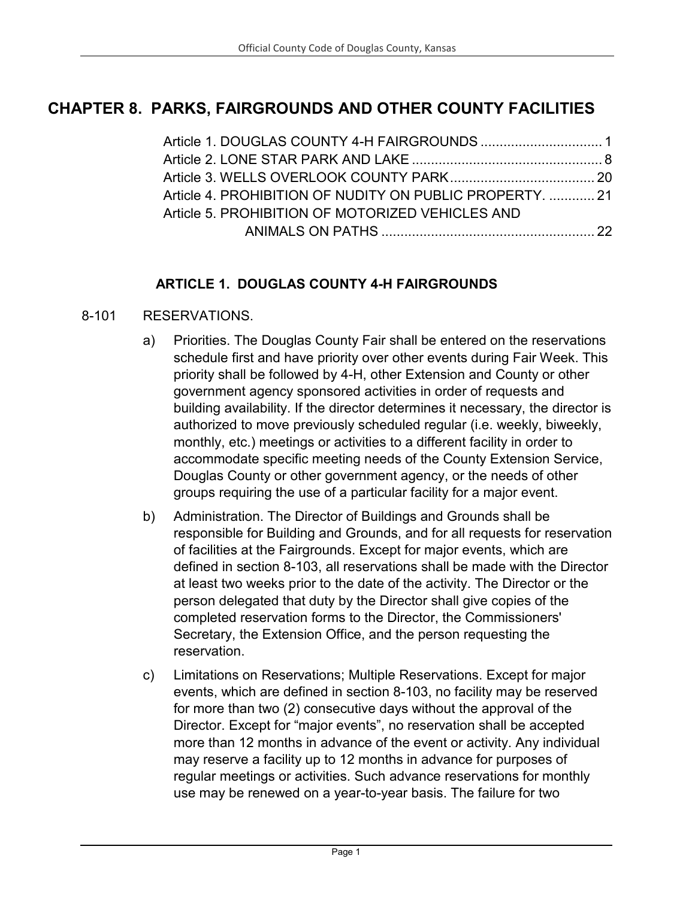# **CHAPTER 8. PARKS, FAIRGROUNDS AND OTHER COUNTY FACILITIES**

| Article 4. PROHIBITION OF NUDITY ON PUBLIC PROPERTY.  21 |  |
|----------------------------------------------------------|--|
| Article 5, PROHIBITION OF MOTORIZED VEHICLES AND         |  |
|                                                          |  |

#### **ARTICLE 1. DOUGLAS COUNTY 4-H FAIRGROUNDS**

#### <span id="page-0-0"></span>8-101 RESERVATIONS.

- a) Priorities. The Douglas County Fair shall be entered on the reservations schedule first and have priority over other events during Fair Week. This priority shall be followed by 4-H, other Extension and County or other government agency sponsored activities in order of requests and building availability. If the director determines it necessary, the director is authorized to move previously scheduled regular (i.e. weekly, biweekly, monthly, etc.) meetings or activities to a different facility in order to accommodate specific meeting needs of the County Extension Service, Douglas County or other government agency, or the needs of other groups requiring the use of a particular facility for a major event.
- b) Administration. The Director of Buildings and Grounds shall be responsible for Building and Grounds, and for all requests for reservation of facilities at the Fairgrounds. Except for major events, which are defined in section 8-103, all reservations shall be made with the Director at least two weeks prior to the date of the activity. The Director or the person delegated that duty by the Director shall give copies of the completed reservation forms to the Director, the Commissioners' Secretary, the Extension Office, and the person requesting the reservation.
- c) Limitations on Reservations; Multiple Reservations. Except for major events, which are defined in section 8-103, no facility may be reserved for more than two (2) consecutive days without the approval of the Director. Except for "major events", no reservation shall be accepted more than 12 months in advance of the event or activity. Any individual may reserve a facility up to 12 months in advance for purposes of regular meetings or activities. Such advance reservations for monthly use may be renewed on a year-to-year basis. The failure for two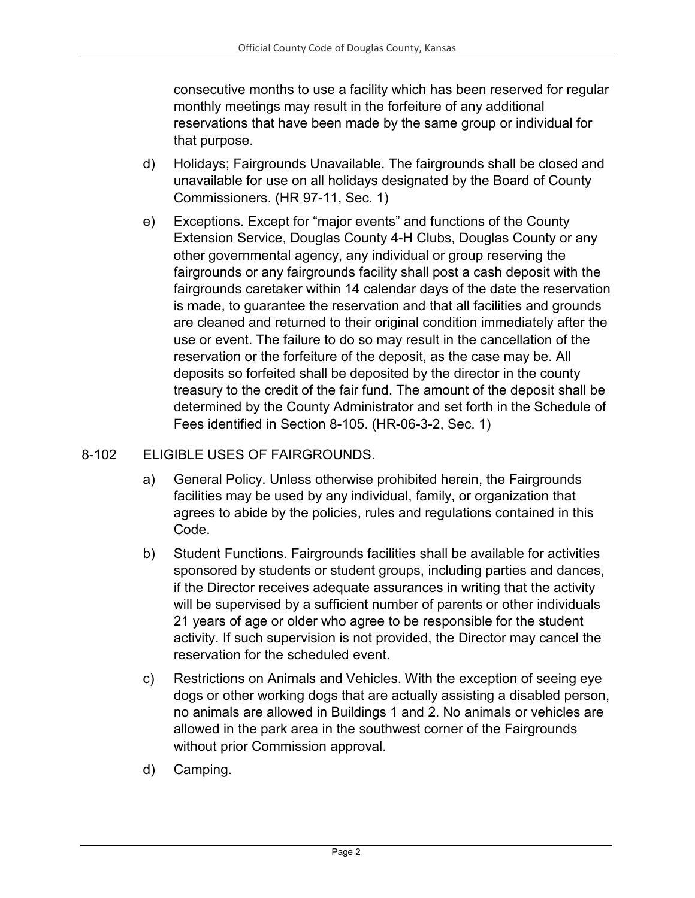consecutive months to use a facility which has been reserved for regular monthly meetings may result in the forfeiture of any additional reservations that have been made by the same group or individual for that purpose.

- d) Holidays; Fairgrounds Unavailable. The fairgrounds shall be closed and unavailable for use on all holidays designated by the Board of County Commissioners. (HR 97-11, Sec. 1)
- e) Exceptions. Except for "major events" and functions of the County Extension Service, Douglas County 4-H Clubs, Douglas County or any other governmental agency, any individual or group reserving the fairgrounds or any fairgrounds facility shall post a cash deposit with the fairgrounds caretaker within 14 calendar days of the date the reservation is made, to guarantee the reservation and that all facilities and grounds are cleaned and returned to their original condition immediately after the use or event. The failure to do so may result in the cancellation of the reservation or the forfeiture of the deposit, as the case may be. All deposits so forfeited shall be deposited by the director in the county treasury to the credit of the fair fund. The amount of the deposit shall be determined by the County Administrator and set forth in the Schedule of Fees identified in Section 8-105. (HR-06-3-2, Sec. 1)

### 8-102 ELIGIBLE USES OF FAIRGROUNDS.

- a) General Policy. Unless otherwise prohibited herein, the Fairgrounds facilities may be used by any individual, family, or organization that agrees to abide by the policies, rules and regulations contained in this Code.
- b) Student Functions. Fairgrounds facilities shall be available for activities sponsored by students or student groups, including parties and dances, if the Director receives adequate assurances in writing that the activity will be supervised by a sufficient number of parents or other individuals 21 years of age or older who agree to be responsible for the student activity. If such supervision is not provided, the Director may cancel the reservation for the scheduled event.
- c) Restrictions on Animals and Vehicles. With the exception of seeing eye dogs or other working dogs that are actually assisting a disabled person, no animals are allowed in Buildings 1 and 2. No animals or vehicles are allowed in the park area in the southwest corner of the Fairgrounds without prior Commission approval.
- d) Camping.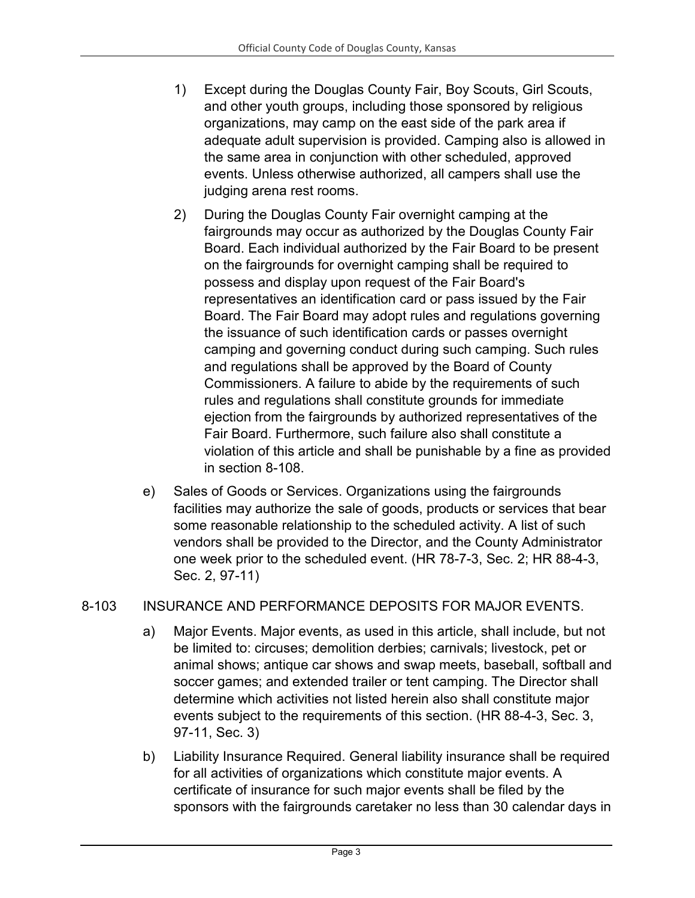- 1) Except during the Douglas County Fair, Boy Scouts, Girl Scouts, and other youth groups, including those sponsored by religious organizations, may camp on the east side of the park area if adequate adult supervision is provided. Camping also is allowed in the same area in conjunction with other scheduled, approved events. Unless otherwise authorized, all campers shall use the judging arena rest rooms.
- 2) During the Douglas County Fair overnight camping at the fairgrounds may occur as authorized by the Douglas County Fair Board. Each individual authorized by the Fair Board to be present on the fairgrounds for overnight camping shall be required to possess and display upon request of the Fair Board's representatives an identification card or pass issued by the Fair Board. The Fair Board may adopt rules and regulations governing the issuance of such identification cards or passes overnight camping and governing conduct during such camping. Such rules and regulations shall be approved by the Board of County Commissioners. A failure to abide by the requirements of such rules and regulations shall constitute grounds for immediate ejection from the fairgrounds by authorized representatives of the Fair Board. Furthermore, such failure also shall constitute a violation of this article and shall be punishable by a fine as provided in section 8-108.
- e) Sales of Goods or Services. Organizations using the fairgrounds facilities may authorize the sale of goods, products or services that bear some reasonable relationship to the scheduled activity. A list of such vendors shall be provided to the Director, and the County Administrator one week prior to the scheduled event. (HR 78-7-3, Sec. 2; HR 88-4-3, Sec. 2, 97-11)

## 8-103 INSURANCE AND PERFORMANCE DEPOSITS FOR MAJOR EVENTS.

- a) Major Events. Major events, as used in this article, shall include, but not be limited to: circuses; demolition derbies; carnivals; livestock, pet or animal shows; antique car shows and swap meets, baseball, softball and soccer games; and extended trailer or tent camping. The Director shall determine which activities not listed herein also shall constitute major events subject to the requirements of this section. (HR 88-4-3, Sec. 3, 97-11, Sec. 3)
- b) Liability Insurance Required. General liability insurance shall be required for all activities of organizations which constitute major events. A certificate of insurance for such major events shall be filed by the sponsors with the fairgrounds caretaker no less than 30 calendar days in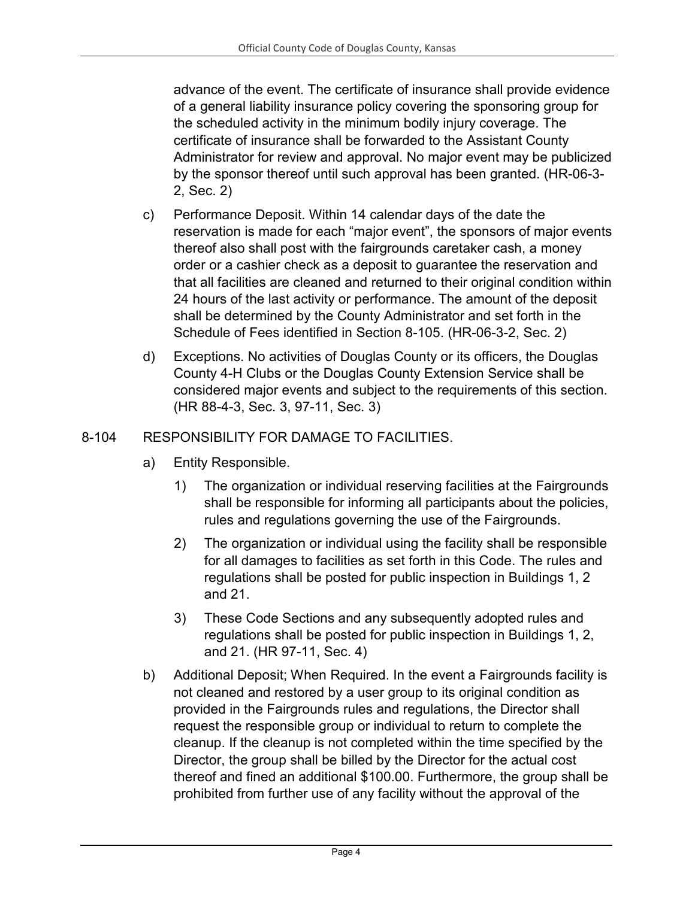advance of the event. The certificate of insurance shall provide evidence of a general liability insurance policy covering the sponsoring group for the scheduled activity in the minimum bodily injury coverage. The certificate of insurance shall be forwarded to the Assistant County Administrator for review and approval. No major event may be publicized by the sponsor thereof until such approval has been granted. (HR-06-3- 2, Sec. 2)

- c) Performance Deposit. Within 14 calendar days of the date the reservation is made for each "major event", the sponsors of major events thereof also shall post with the fairgrounds caretaker cash, a money order or a cashier check as a deposit to guarantee the reservation and that all facilities are cleaned and returned to their original condition within 24 hours of the last activity or performance. The amount of the deposit shall be determined by the County Administrator and set forth in the Schedule of Fees identified in Section 8-105. (HR-06-3-2, Sec. 2)
- d) Exceptions. No activities of Douglas County or its officers, the Douglas County 4-H Clubs or the Douglas County Extension Service shall be considered major events and subject to the requirements of this section. (HR 88-4-3, Sec. 3, 97-11, Sec. 3)

## 8-104 RESPONSIBILITY FOR DAMAGE TO FACILITIES.

- a) Entity Responsible.
	- 1) The organization or individual reserving facilities at the Fairgrounds shall be responsible for informing all participants about the policies, rules and regulations governing the use of the Fairgrounds.
	- 2) The organization or individual using the facility shall be responsible for all damages to facilities as set forth in this Code. The rules and regulations shall be posted for public inspection in Buildings 1, 2 and 21.
	- 3) These Code Sections and any subsequently adopted rules and regulations shall be posted for public inspection in Buildings 1, 2, and 21. (HR 97-11, Sec. 4)
- b) Additional Deposit; When Required. In the event a Fairgrounds facility is not cleaned and restored by a user group to its original condition as provided in the Fairgrounds rules and regulations, the Director shall request the responsible group or individual to return to complete the cleanup. If the cleanup is not completed within the time specified by the Director, the group shall be billed by the Director for the actual cost thereof and fined an additional \$100.00. Furthermore, the group shall be prohibited from further use of any facility without the approval of the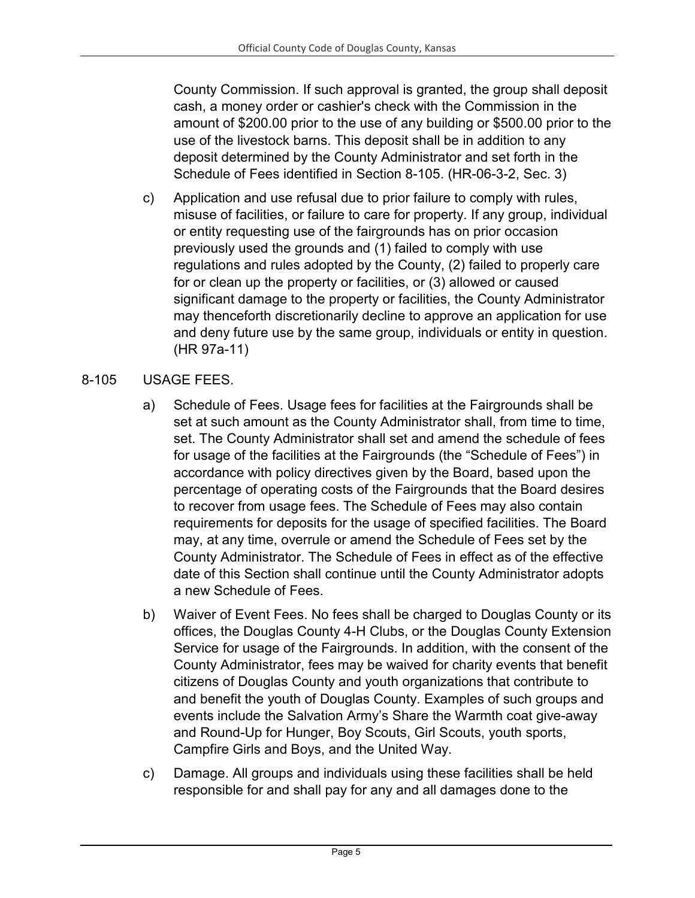County Commission. If such approval is granted, the group shall deposit cash, a money order or cashier's check with the Commission in the amount of \$200.00 prior to the use of any building or \$500.00 prior to the use of the livestock barns. This deposit shall be in addition to any deposit determined by the County Administrator and set forth in the Schedule of Fees identified in Section 8-105. (HR-06-3-2, Sec. 3)

c) Application and use refusal due to prior failure to comply with rules, misuse of facilities, or failure to care for property. If any group, individual or entity requesting use of the fairgrounds has on prior occasion previously used the grounds and (1) failed to comply with use regulations and rules adopted by the County, (2) failed to properly care for or clean up the property or facilities, or (3) allowed or caused significant damage to the property or facilities, the County Administrator may thenceforth discretionarily decline to approve an application for use and deny future use by the same group, individuals or entity in question. (HR 97a-11)

#### 8-105 USAGE FEES.

- a) Schedule of Fees. Usage fees for facilities at the Fairgrounds shall be set at such amount as the County Administrator shall, from time to time, set. The County Administrator shall set and amend the schedule of fees for usage of the facilities at the Fairgrounds (the "Schedule of Fees") in accordance with policy directives given by the Board, based upon the percentage of operating costs of the Fairgrounds that the Board desires to recover from usage fees. The Schedule of Fees may also contain requirements for deposits for the usage of specified facilities. The Board may, at any time, overrule or amend the Schedule of Fees set by the County Administrator. The Schedule of Fees in effect as of the effective date of this Section shall continue until the County Administrator adopts a new Schedule of Fees.
- b) Waiver of Event Fees. No fees shall be charged to Douglas County or its offices, the Douglas County 4-H Clubs, or the Douglas County Extension Service for usage of the Fairgrounds. In addition, with the consent of the County Administrator, fees may be waived for charity events that benefit citizens of Douglas County and youth organizations that contribute to and benefit the youth of Douglas County. Examples of such groups and events include the Salvation Army's Share the Warmth coat give-away and Round-Up for Hunger, Boy Scouts, Girl Scouts, youth sports, Campfire Girls and Boys, and the United Way.
- c) Damage. All groups and individuals using these facilities shall be held responsible for and shall pay for any and all damages done to the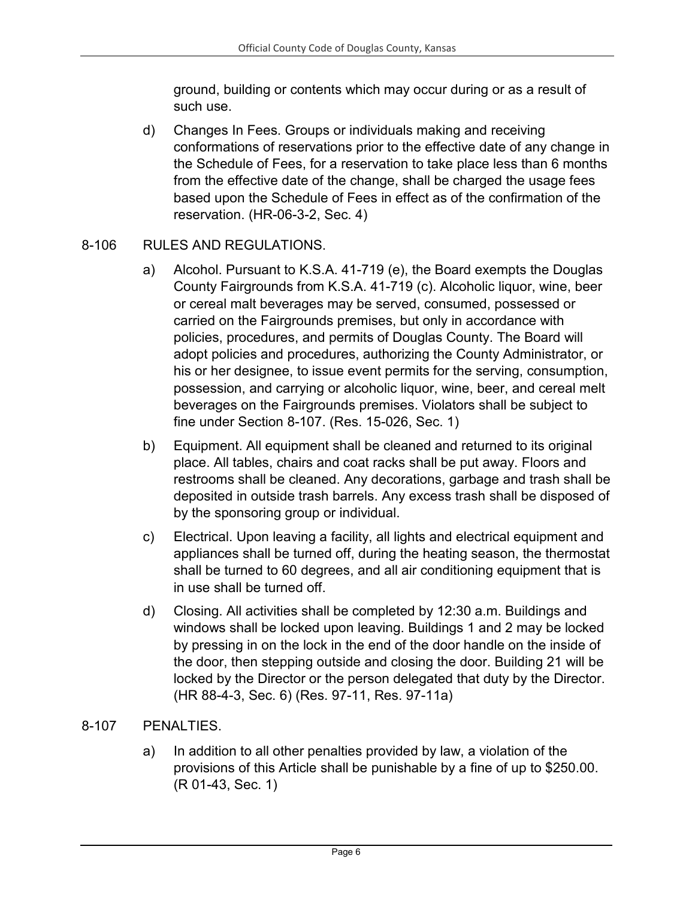ground, building or contents which may occur during or as a result of such use.

d) Changes In Fees. Groups or individuals making and receiving conformations of reservations prior to the effective date of any change in the Schedule of Fees, for a reservation to take place less than 6 months from the effective date of the change, shall be charged the usage fees based upon the Schedule of Fees in effect as of the confirmation of the reservation. (HR-06-3-2, Sec. 4)

#### 8-106 RULES AND REGULATIONS.

- a) Alcohol. Pursuant to K.S.A. 41-719 (e), the Board exempts the Douglas County Fairgrounds from K.S.A. 41-719 (c). Alcoholic liquor, wine, beer or cereal malt beverages may be served, consumed, possessed or carried on the Fairgrounds premises, but only in accordance with policies, procedures, and permits of Douglas County. The Board will adopt policies and procedures, authorizing the County Administrator, or his or her designee, to issue event permits for the serving, consumption, possession, and carrying or alcoholic liquor, wine, beer, and cereal melt beverages on the Fairgrounds premises. Violators shall be subject to fine under Section 8-107. (Res. 15-026, Sec. 1)
- b) Equipment. All equipment shall be cleaned and returned to its original place. All tables, chairs and coat racks shall be put away. Floors and restrooms shall be cleaned. Any decorations, garbage and trash shall be deposited in outside trash barrels. Any excess trash shall be disposed of by the sponsoring group or individual.
- c) Electrical. Upon leaving a facility, all lights and electrical equipment and appliances shall be turned off, during the heating season, the thermostat shall be turned to 60 degrees, and all air conditioning equipment that is in use shall be turned off.
- d) Closing. All activities shall be completed by 12:30 a.m. Buildings and windows shall be locked upon leaving. Buildings 1 and 2 may be locked by pressing in on the lock in the end of the door handle on the inside of the door, then stepping outside and closing the door. Building 21 will be locked by the Director or the person delegated that duty by the Director. (HR 88-4-3, Sec. 6) (Res. 97-11, Res. 97-11a)

#### 8-107 PENALTIES.

a) In addition to all other penalties provided by law, a violation of the provisions of this Article shall be punishable by a fine of up to \$250.00. (R 01-43, Sec. 1)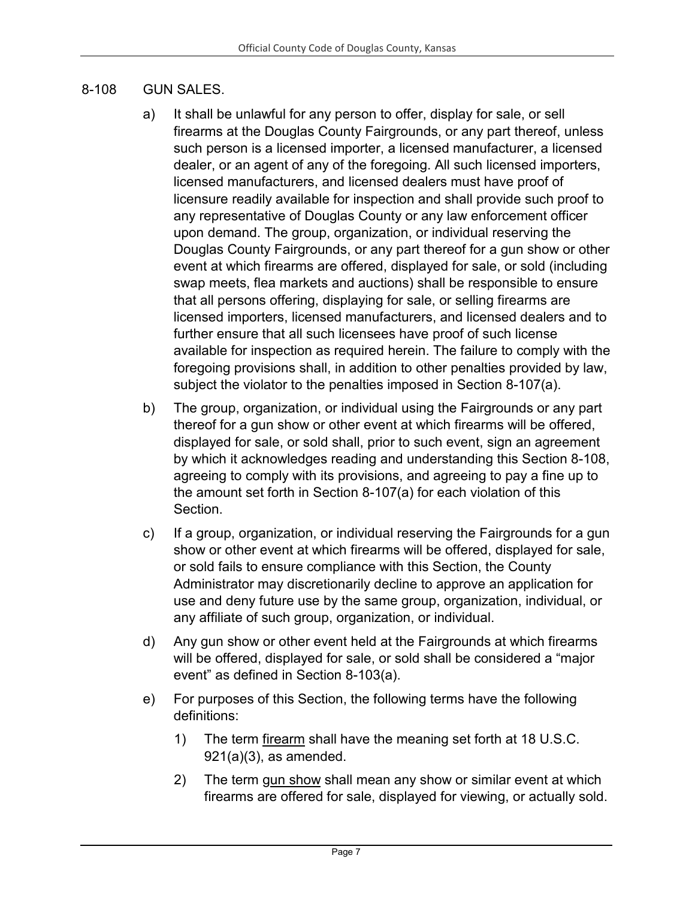#### 8-108 GUN SALES.

- a) It shall be unlawful for any person to offer, display for sale, or sell firearms at the Douglas County Fairgrounds, or any part thereof, unless such person is a licensed importer, a licensed manufacturer, a licensed dealer, or an agent of any of the foregoing. All such licensed importers, licensed manufacturers, and licensed dealers must have proof of licensure readily available for inspection and shall provide such proof to any representative of Douglas County or any law enforcement officer upon demand. The group, organization, or individual reserving the Douglas County Fairgrounds, or any part thereof for a gun show or other event at which firearms are offered, displayed for sale, or sold (including swap meets, flea markets and auctions) shall be responsible to ensure that all persons offering, displaying for sale, or selling firearms are licensed importers, licensed manufacturers, and licensed dealers and to further ensure that all such licensees have proof of such license available for inspection as required herein. The failure to comply with the foregoing provisions shall, in addition to other penalties provided by law, subject the violator to the penalties imposed in Section 8-107(a).
- b) The group, organization, or individual using the Fairgrounds or any part thereof for a gun show or other event at which firearms will be offered, displayed for sale, or sold shall, prior to such event, sign an agreement by which it acknowledges reading and understanding this Section 8-108, agreeing to comply with its provisions, and agreeing to pay a fine up to the amount set forth in Section 8-107(a) for each violation of this Section.
- c) If a group, organization, or individual reserving the Fairgrounds for a gun show or other event at which firearms will be offered, displayed for sale, or sold fails to ensure compliance with this Section, the County Administrator may discretionarily decline to approve an application for use and deny future use by the same group, organization, individual, or any affiliate of such group, organization, or individual.
- d) Any gun show or other event held at the Fairgrounds at which firearms will be offered, displayed for sale, or sold shall be considered a "major event" as defined in Section 8-103(a).
- e) For purposes of this Section, the following terms have the following definitions:
	- 1) The term firearm shall have the meaning set forth at 18 U.S.C. 921(a)(3), as amended.
	- 2) The term gun show shall mean any show or similar event at which firearms are offered for sale, displayed for viewing, or actually sold.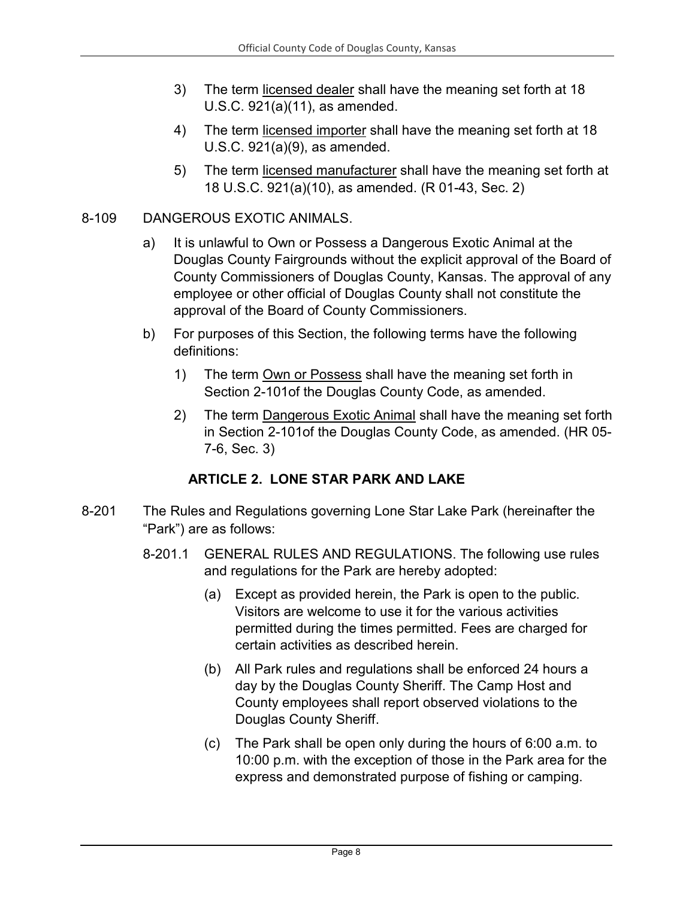- 3) The term licensed dealer shall have the meaning set forth at 18 U.S.C. 921(a)(11), as amended.
- 4) The term licensed importer shall have the meaning set forth at 18 U.S.C. 921(a)(9), as amended.
- 5) The term licensed manufacturer shall have the meaning set forth at 18 U.S.C. 921(a)(10), as amended. (R 01-43, Sec. 2)

#### 8-109 DANGEROUS EXOTIC ANIMALS.

- a) It is unlawful to Own or Possess a Dangerous Exotic Animal at the Douglas County Fairgrounds without the explicit approval of the Board of County Commissioners of Douglas County, Kansas. The approval of any employee or other official of Douglas County shall not constitute the approval of the Board of County Commissioners.
- b) For purposes of this Section, the following terms have the following definitions:
	- 1) The term Own or Possess shall have the meaning set forth in Section 2-101of the Douglas County Code, as amended.
	- 2) The term Dangerous Exotic Animal shall have the meaning set forth in Section 2-101of the Douglas County Code, as amended. (HR 05- 7-6, Sec. 3)

## **ARTICLE 2. LONE STAR PARK AND LAKE**

- <span id="page-7-0"></span>8-201 The Rules and Regulations governing Lone Star Lake Park (hereinafter the "Park") are as follows:
	- 8-201.1 GENERAL RULES AND REGULATIONS. The following use rules and regulations for the Park are hereby adopted:
		- (a) Except as provided herein, the Park is open to the public. Visitors are welcome to use it for the various activities permitted during the times permitted. Fees are charged for certain activities as described herein.
		- (b) All Park rules and regulations shall be enforced 24 hours a day by the Douglas County Sheriff. The Camp Host and County employees shall report observed violations to the Douglas County Sheriff.
		- (c) The Park shall be open only during the hours of 6:00 a.m. to 10:00 p.m. with the exception of those in the Park area for the express and demonstrated purpose of fishing or camping.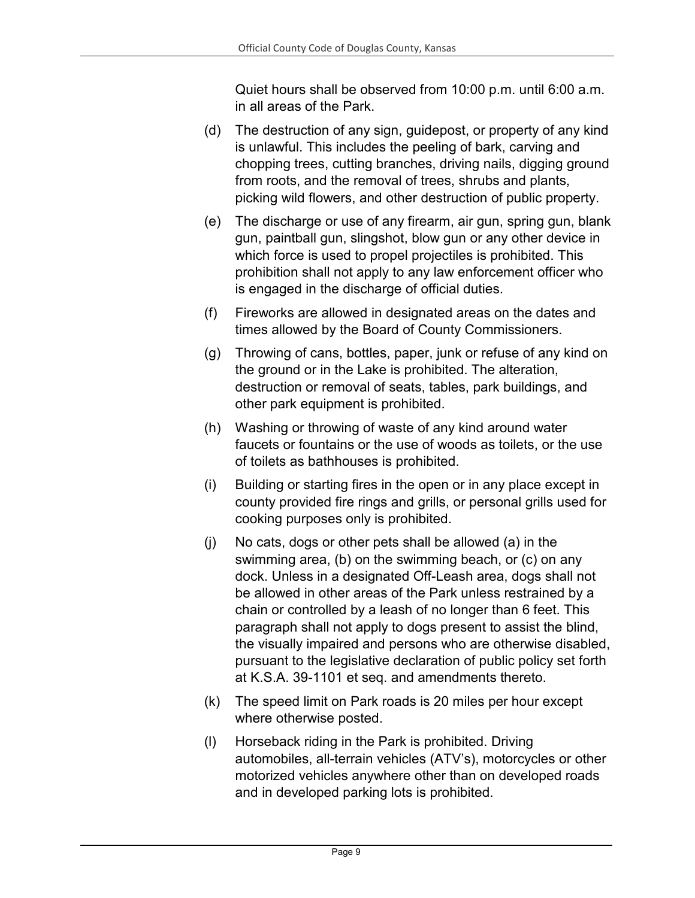Quiet hours shall be observed from 10:00 p.m. until 6:00 a.m. in all areas of the Park.

- (d) The destruction of any sign, guidepost, or property of any kind is unlawful. This includes the peeling of bark, carving and chopping trees, cutting branches, driving nails, digging ground from roots, and the removal of trees, shrubs and plants, picking wild flowers, and other destruction of public property.
- (e) The discharge or use of any firearm, air gun, spring gun, blank gun, paintball gun, slingshot, blow gun or any other device in which force is used to propel projectiles is prohibited. This prohibition shall not apply to any law enforcement officer who is engaged in the discharge of official duties.
- (f) Fireworks are allowed in designated areas on the dates and times allowed by the Board of County Commissioners.
- (g) Throwing of cans, bottles, paper, junk or refuse of any kind on the ground or in the Lake is prohibited. The alteration, destruction or removal of seats, tables, park buildings, and other park equipment is prohibited.
- (h) Washing or throwing of waste of any kind around water faucets or fountains or the use of woods as toilets, or the use of toilets as bathhouses is prohibited.
- (i) Building or starting fires in the open or in any place except in county provided fire rings and grills, or personal grills used for cooking purposes only is prohibited.
- (j) No cats, dogs or other pets shall be allowed (a) in the swimming area, (b) on the swimming beach, or (c) on any dock. Unless in a designated Off-Leash area, dogs shall not be allowed in other areas of the Park unless restrained by a chain or controlled by a leash of no longer than 6 feet. This paragraph shall not apply to dogs present to assist the blind, the visually impaired and persons who are otherwise disabled, pursuant to the legislative declaration of public policy set forth at K.S.A. 39-1101 et seq. and amendments thereto.
- (k) The speed limit on Park roads is 20 miles per hour except where otherwise posted.
- (l) Horseback riding in the Park is prohibited. Driving automobiles, all-terrain vehicles (ATV's), motorcycles or other motorized vehicles anywhere other than on developed roads and in developed parking lots is prohibited.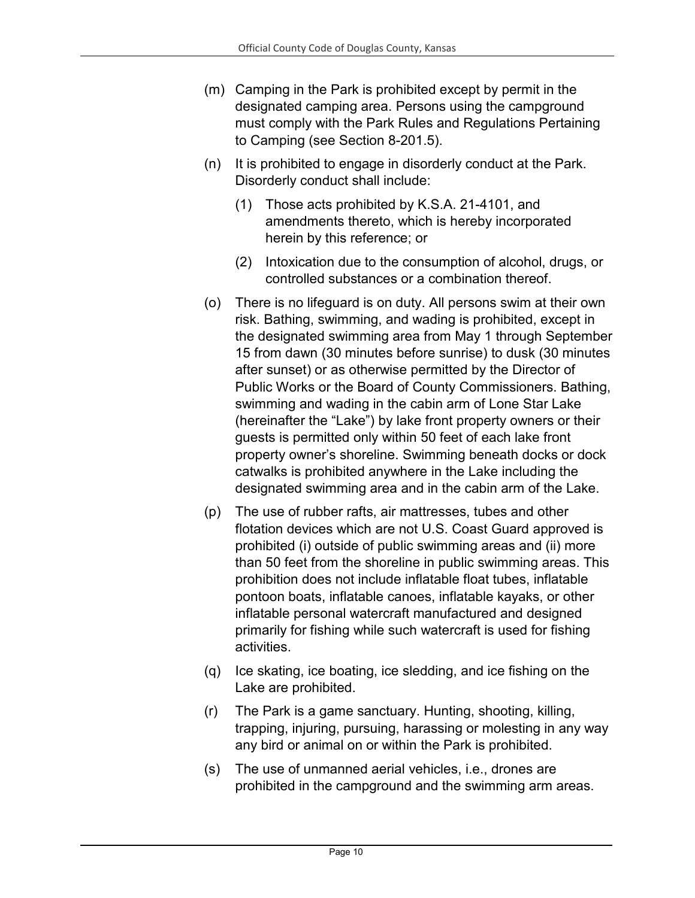- (m) Camping in the Park is prohibited except by permit in the designated camping area. Persons using the campground must comply with the Park Rules and Regulations Pertaining to Camping (see Section 8-201.5).
- (n) It is prohibited to engage in disorderly conduct at the Park. Disorderly conduct shall include:
	- (1) Those acts prohibited by K.S.A. 21-4101, and amendments thereto, which is hereby incorporated herein by this reference; or
	- (2) Intoxication due to the consumption of alcohol, drugs, or controlled substances or a combination thereof.
- (o) There is no lifeguard is on duty. All persons swim at their own risk. Bathing, swimming, and wading is prohibited, except in the designated swimming area from May 1 through September 15 from dawn (30 minutes before sunrise) to dusk (30 minutes after sunset) or as otherwise permitted by the Director of Public Works or the Board of County Commissioners. Bathing, swimming and wading in the cabin arm of Lone Star Lake (hereinafter the "Lake") by lake front property owners or their guests is permitted only within 50 feet of each lake front property owner's shoreline. Swimming beneath docks or dock catwalks is prohibited anywhere in the Lake including the designated swimming area and in the cabin arm of the Lake.
- (p) The use of rubber rafts, air mattresses, tubes and other flotation devices which are not U.S. Coast Guard approved is prohibited (i) outside of public swimming areas and (ii) more than 50 feet from the shoreline in public swimming areas. This prohibition does not include inflatable float tubes, inflatable pontoon boats, inflatable canoes, inflatable kayaks, or other inflatable personal watercraft manufactured and designed primarily for fishing while such watercraft is used for fishing activities.
- (q) Ice skating, ice boating, ice sledding, and ice fishing on the Lake are prohibited.
- (r) The Park is a game sanctuary. Hunting, shooting, killing, trapping, injuring, pursuing, harassing or molesting in any way any bird or animal on or within the Park is prohibited.
- (s) The use of unmanned aerial vehicles, i.e., drones are prohibited in the campground and the swimming arm areas.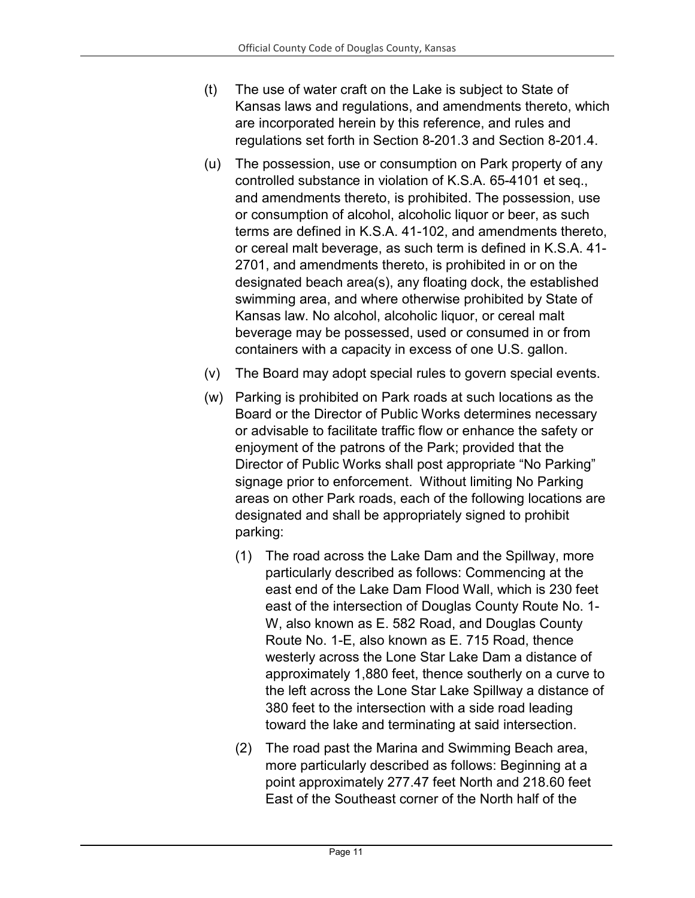- (t) The use of water craft on the Lake is subject to State of Kansas laws and regulations, and amendments thereto, which are incorporated herein by this reference, and rules and regulations set forth in Section 8-201.3 and Section 8-201.4.
- (u) The possession, use or consumption on Park property of any controlled substance in violation of K.S.A. 65-4101 et seq., and amendments thereto, is prohibited. The possession, use or consumption of alcohol, alcoholic liquor or beer, as such terms are defined in K.S.A. 41-102, and amendments thereto, or cereal malt beverage, as such term is defined in K.S.A. 41- 2701, and amendments thereto, is prohibited in or on the designated beach area(s), any floating dock, the established swimming area, and where otherwise prohibited by State of Kansas law. No alcohol, alcoholic liquor, or cereal malt beverage may be possessed, used or consumed in or from containers with a capacity in excess of one U.S. gallon.
- (v) The Board may adopt special rules to govern special events.
- (w) Parking is prohibited on Park roads at such locations as the Board or the Director of Public Works determines necessary or advisable to facilitate traffic flow or enhance the safety or enjoyment of the patrons of the Park; provided that the Director of Public Works shall post appropriate "No Parking" signage prior to enforcement. Without limiting No Parking areas on other Park roads, each of the following locations are designated and shall be appropriately signed to prohibit parking:
	- (1) The road across the Lake Dam and the Spillway, more particularly described as follows: Commencing at the east end of the Lake Dam Flood Wall, which is 230 feet east of the intersection of Douglas County Route No. 1- W, also known as E. 582 Road, and Douglas County Route No. 1-E, also known as E. 715 Road, thence westerly across the Lone Star Lake Dam a distance of approximately 1,880 feet, thence southerly on a curve to the left across the Lone Star Lake Spillway a distance of 380 feet to the intersection with a side road leading toward the lake and terminating at said intersection.
	- (2) The road past the Marina and Swimming Beach area, more particularly described as follows: Beginning at a point approximately 277.47 feet North and 218.60 feet East of the Southeast corner of the North half of the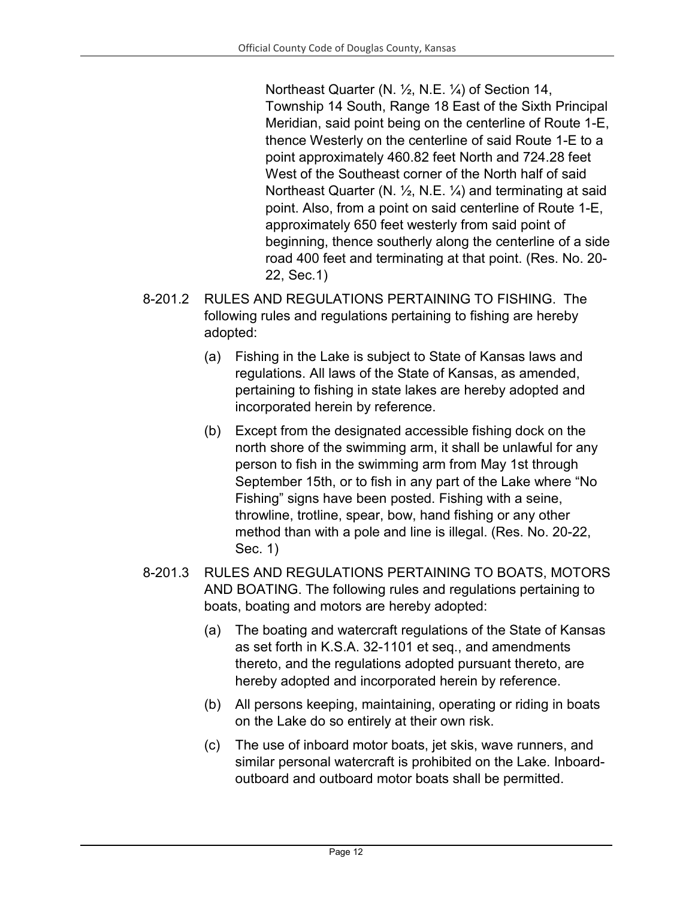Northeast Quarter (N. ½, N.E. ¼) of Section 14, Township 14 South, Range 18 East of the Sixth Principal Meridian, said point being on the centerline of Route 1-E, thence Westerly on the centerline of said Route 1-E to a point approximately 460.82 feet North and 724.28 feet West of the Southeast corner of the North half of said Northeast Quarter (N. ½, N.E. ¼) and terminating at said point. Also, from a point on said centerline of Route 1-E, approximately 650 feet westerly from said point of beginning, thence southerly along the centerline of a side road 400 feet and terminating at that point. (Res. No. 20- 22, Sec.1)

- 8-201.2 RULES AND REGULATIONS PERTAINING TO FISHING. The following rules and regulations pertaining to fishing are hereby adopted:
	- (a) Fishing in the Lake is subject to State of Kansas laws and regulations. All laws of the State of Kansas, as amended, pertaining to fishing in state lakes are hereby adopted and incorporated herein by reference.
	- (b) Except from the designated accessible fishing dock on the north shore of the swimming arm, it shall be unlawful for any person to fish in the swimming arm from May 1st through September 15th, or to fish in any part of the Lake where "No Fishing" signs have been posted. Fishing with a seine, throwline, trotline, spear, bow, hand fishing or any other method than with a pole and line is illegal. (Res. No. 20-22, Sec. 1)
- 8-201.3 RULES AND REGULATIONS PERTAINING TO BOATS, MOTORS AND BOATING. The following rules and regulations pertaining to boats, boating and motors are hereby adopted:
	- (a) The boating and watercraft regulations of the State of Kansas as set forth in K.S.A. 32-1101 et seq., and amendments thereto, and the regulations adopted pursuant thereto, are hereby adopted and incorporated herein by reference.
	- (b) All persons keeping, maintaining, operating or riding in boats on the Lake do so entirely at their own risk.
	- (c) The use of inboard motor boats, jet skis, wave runners, and similar personal watercraft is prohibited on the Lake. Inboardoutboard and outboard motor boats shall be permitted.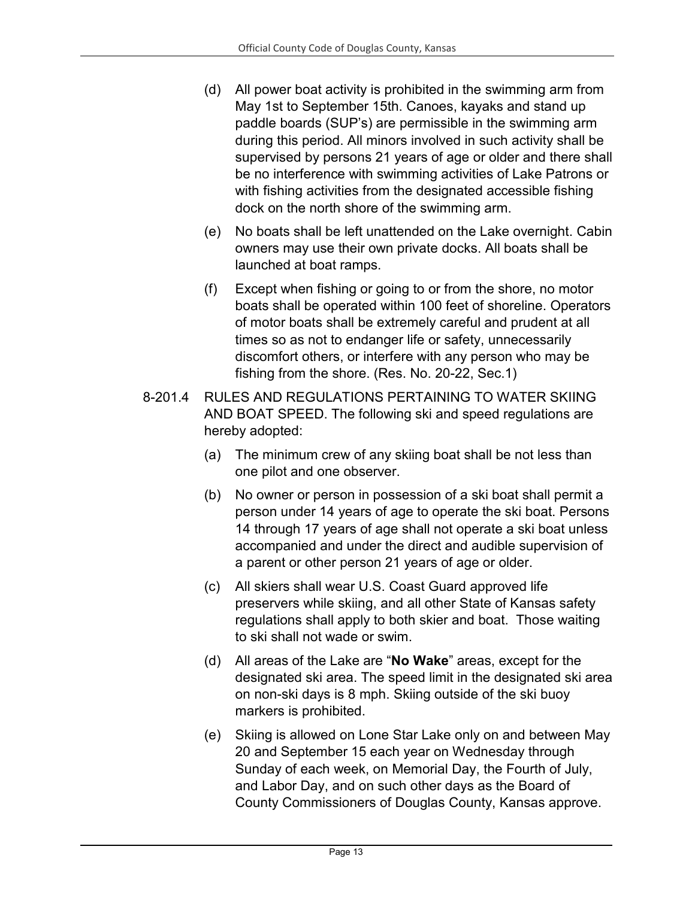- (d) All power boat activity is prohibited in the swimming arm from May 1st to September 15th. Canoes, kayaks and stand up paddle boards (SUP's) are permissible in the swimming arm during this period. All minors involved in such activity shall be supervised by persons 21 years of age or older and there shall be no interference with swimming activities of Lake Patrons or with fishing activities from the designated accessible fishing dock on the north shore of the swimming arm.
- (e) No boats shall be left unattended on the Lake overnight. Cabin owners may use their own private docks. All boats shall be launched at boat ramps.
- (f) Except when fishing or going to or from the shore, no motor boats shall be operated within 100 feet of shoreline. Operators of motor boats shall be extremely careful and prudent at all times so as not to endanger life or safety, unnecessarily discomfort others, or interfere with any person who may be fishing from the shore. (Res. No. 20-22, Sec.1)
- 8-201.4 RULES AND REGULATIONS PERTAINING TO WATER SKIING AND BOAT SPEED. The following ski and speed regulations are hereby adopted:
	- (a) The minimum crew of any skiing boat shall be not less than one pilot and one observer.
	- (b) No owner or person in possession of a ski boat shall permit a person under 14 years of age to operate the ski boat. Persons 14 through 17 years of age shall not operate a ski boat unless accompanied and under the direct and audible supervision of a parent or other person 21 years of age or older.
	- (c) All skiers shall wear U.S. Coast Guard approved life preservers while skiing, and all other State of Kansas safety regulations shall apply to both skier and boat. Those waiting to ski shall not wade or swim.
	- (d) All areas of the Lake are "**No Wake**" areas, except for the designated ski area. The speed limit in the designated ski area on non-ski days is 8 mph. Skiing outside of the ski buoy markers is prohibited.
	- (e) Skiing is allowed on Lone Star Lake only on and between May 20 and September 15 each year on Wednesday through Sunday of each week, on Memorial Day, the Fourth of July, and Labor Day, and on such other days as the Board of County Commissioners of Douglas County, Kansas approve.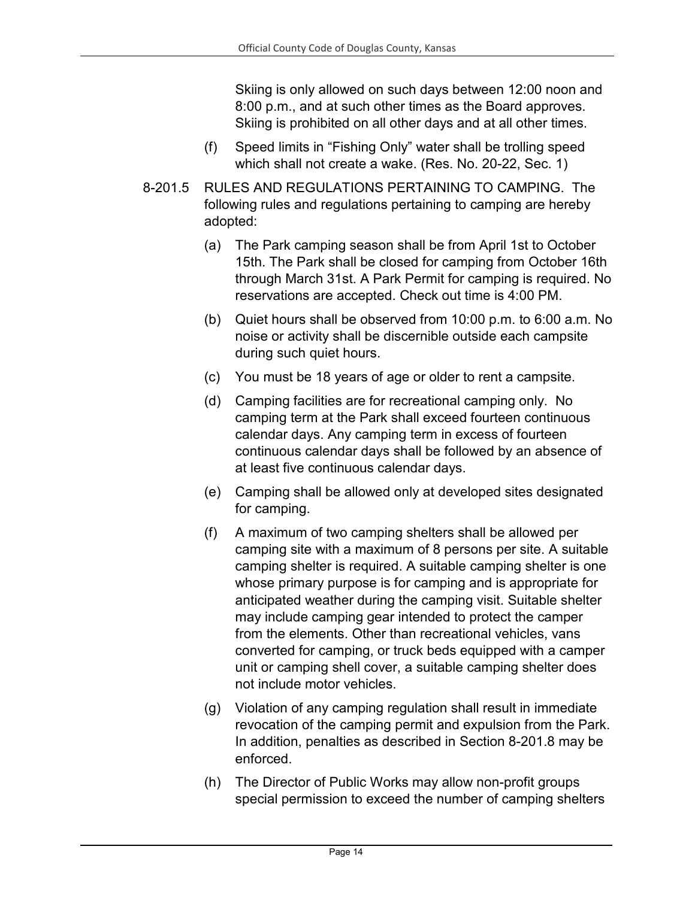Skiing is only allowed on such days between 12:00 noon and 8:00 p.m., and at such other times as the Board approves. Skiing is prohibited on all other days and at all other times.

- (f) Speed limits in "Fishing Only" water shall be trolling speed which shall not create a wake. (Res. No. 20-22, Sec. 1)
- 8-201.5 RULES AND REGULATIONS PERTAINING TO CAMPING. The following rules and regulations pertaining to camping are hereby adopted:
	- (a) The Park camping season shall be from April 1st to October 15th. The Park shall be closed for camping from October 16th through March 31st. A Park Permit for camping is required. No reservations are accepted. Check out time is 4:00 PM.
	- (b) Quiet hours shall be observed from 10:00 p.m. to 6:00 a.m. No noise or activity shall be discernible outside each campsite during such quiet hours.
	- (c) You must be 18 years of age or older to rent a campsite.
	- (d) Camping facilities are for recreational camping only. No camping term at the Park shall exceed fourteen continuous calendar days. Any camping term in excess of fourteen continuous calendar days shall be followed by an absence of at least five continuous calendar days.
	- (e) Camping shall be allowed only at developed sites designated for camping.
	- (f) A maximum of two camping shelters shall be allowed per camping site with a maximum of 8 persons per site. A suitable camping shelter is required. A suitable camping shelter is one whose primary purpose is for camping and is appropriate for anticipated weather during the camping visit. Suitable shelter may include camping gear intended to protect the camper from the elements. Other than recreational vehicles, vans converted for camping, or truck beds equipped with a camper unit or camping shell cover, a suitable camping shelter does not include motor vehicles.
	- (g) Violation of any camping regulation shall result in immediate revocation of the camping permit and expulsion from the Park. In addition, penalties as described in Section 8-201.8 may be enforced.
	- (h) The Director of Public Works may allow non-profit groups special permission to exceed the number of camping shelters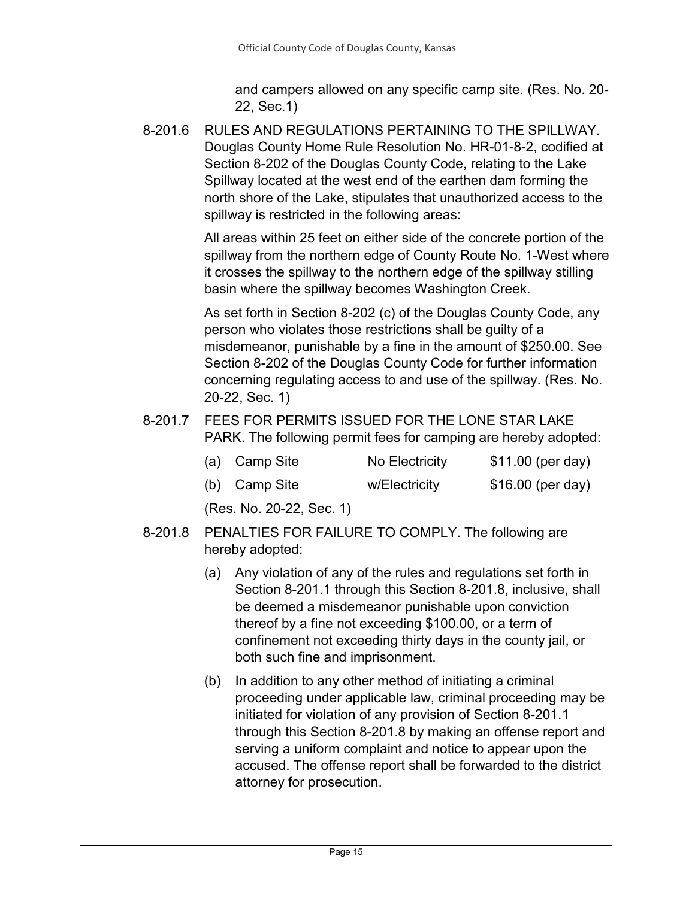and campers allowed on any specific camp site. (Res. No. 20- 22, Sec.1)

8-201.6 RULES AND REGULATIONS PERTAINING TO THE SPILLWAY. Douglas County Home Rule Resolution No. HR-01-8-2, codified at Section 8-202 of the Douglas County Code, relating to the Lake Spillway located at the west end of the earthen dam forming the north shore of the Lake, stipulates that unauthorized access to the spillway is restricted in the following areas:

> All areas within 25 feet on either side of the concrete portion of the spillway from the northern edge of County Route No. 1-West where it crosses the spillway to the northern edge of the spillway stilling basin where the spillway becomes Washington Creek.

As set forth in Section 8-202 (c) of the Douglas County Code, any person who violates those restrictions shall be guilty of a misdemeanor, punishable by a fine in the amount of \$250.00. See Section 8-202 of the Douglas County Code for further information concerning regulating access to and use of the spillway. (Res. No. 20-22, Sec. 1)

8-201.7 FEES FOR PERMITS ISSUED FOR THE LONE STAR LAKE PARK. The following permit fees for camping are hereby adopted:

| (a) Camp Site | No Electricity | \$11.00 (per day) |
|---------------|----------------|-------------------|
|               |                |                   |

(b) Camp Site w/Electricity \$16.00 (per day)

(Res. No. 20-22, Sec. 1)

- 8-201.8 PENALTIES FOR FAILURE TO COMPLY. The following are hereby adopted:
	- (a) Any violation of any of the rules and regulations set forth in Section 8-201.1 through this Section 8-201.8, inclusive, shall be deemed a misdemeanor punishable upon conviction thereof by a fine not exceeding \$100.00, or a term of confinement not exceeding thirty days in the county jail, or both such fine and imprisonment.
	- (b) In addition to any other method of initiating a criminal proceeding under applicable law, criminal proceeding may be initiated for violation of any provision of Section 8-201.1 through this Section 8-201.8 by making an offense report and serving a uniform complaint and notice to appear upon the accused. The offense report shall be forwarded to the district attorney for prosecution.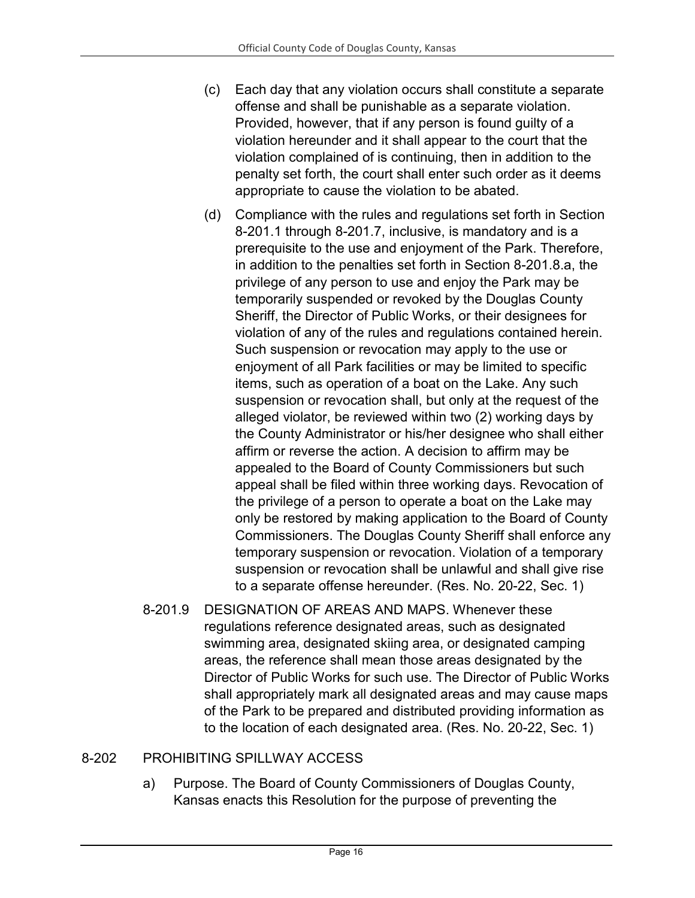- (c) Each day that any violation occurs shall constitute a separate offense and shall be punishable as a separate violation. Provided, however, that if any person is found guilty of a violation hereunder and it shall appear to the court that the violation complained of is continuing, then in addition to the penalty set forth, the court shall enter such order as it deems appropriate to cause the violation to be abated.
- (d) Compliance with the rules and regulations set forth in Section 8-201.1 through 8-201.7, inclusive, is mandatory and is a prerequisite to the use and enjoyment of the Park. Therefore, in addition to the penalties set forth in Section 8-201.8.a, the privilege of any person to use and enjoy the Park may be temporarily suspended or revoked by the Douglas County Sheriff, the Director of Public Works, or their designees for violation of any of the rules and regulations contained herein. Such suspension or revocation may apply to the use or enjoyment of all Park facilities or may be limited to specific items, such as operation of a boat on the Lake. Any such suspension or revocation shall, but only at the request of the alleged violator, be reviewed within two (2) working days by the County Administrator or his/her designee who shall either affirm or reverse the action. A decision to affirm may be appealed to the Board of County Commissioners but such appeal shall be filed within three working days. Revocation of the privilege of a person to operate a boat on the Lake may only be restored by making application to the Board of County Commissioners. The Douglas County Sheriff shall enforce any temporary suspension or revocation. Violation of a temporary suspension or revocation shall be unlawful and shall give rise to a separate offense hereunder. (Res. No. 20-22, Sec. 1)
- 8-201.9 DESIGNATION OF AREAS AND MAPS. Whenever these regulations reference designated areas, such as designated swimming area, designated skiing area, or designated camping areas, the reference shall mean those areas designated by the Director of Public Works for such use. The Director of Public Works shall appropriately mark all designated areas and may cause maps of the Park to be prepared and distributed providing information as to the location of each designated area. (Res. No. 20-22, Sec. 1)

#### 8-202 PROHIBITING SPILLWAY ACCESS

a) Purpose. The Board of County Commissioners of Douglas County, Kansas enacts this Resolution for the purpose of preventing the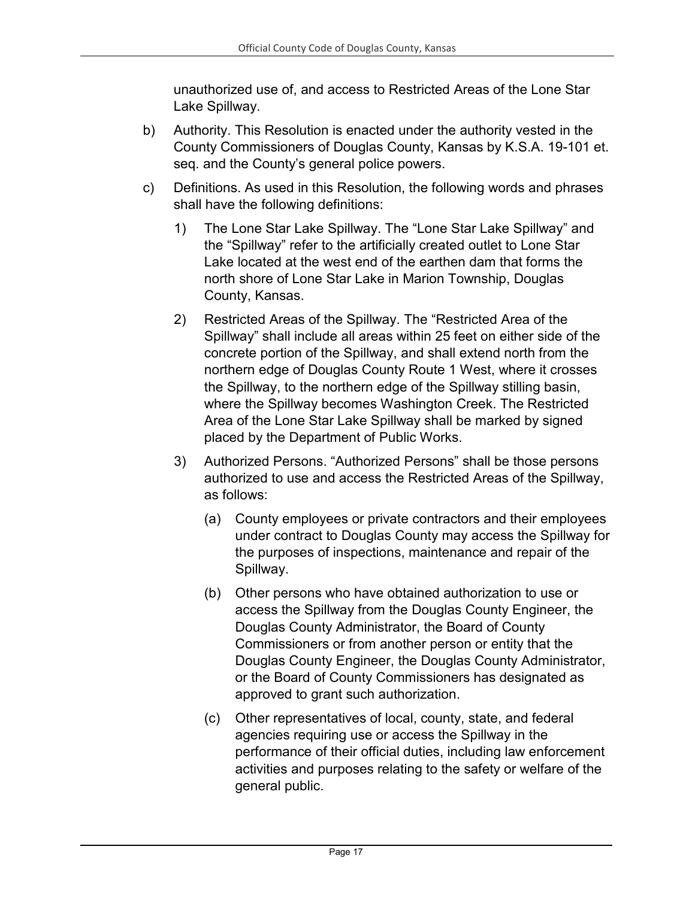unauthorized use of, and access to Restricted Areas of the Lone Star Lake Spillway.

- b) Authority. This Resolution is enacted under the authority vested in the County Commissioners of Douglas County, Kansas by K.S.A. 19-101 et. seq. and the County's general police powers.
- c) Definitions. As used in this Resolution, the following words and phrases shall have the following definitions:
	- 1) The Lone Star Lake Spillway. The "Lone Star Lake Spillway" and the "Spillway" refer to the artificially created outlet to Lone Star Lake located at the west end of the earthen dam that forms the north shore of Lone Star Lake in Marion Township, Douglas County, Kansas.
	- 2) Restricted Areas of the Spillway. The "Restricted Area of the Spillway" shall include all areas within 25 feet on either side of the concrete portion of the Spillway, and shall extend north from the northern edge of Douglas County Route 1 West, where it crosses the Spillway, to the northern edge of the Spillway stilling basin, where the Spillway becomes Washington Creek. The Restricted Area of the Lone Star Lake Spillway shall be marked by signed placed by the Department of Public Works.
	- 3) Authorized Persons. "Authorized Persons" shall be those persons authorized to use and access the Restricted Areas of the Spillway, as follows:
		- (a) County employees or private contractors and their employees under contract to Douglas County may access the Spillway for the purposes of inspections, maintenance and repair of the Spillway.
		- (b) Other persons who have obtained authorization to use or access the Spillway from the Douglas County Engineer, the Douglas County Administrator, the Board of County Commissioners or from another person or entity that the Douglas County Engineer, the Douglas County Administrator, or the Board of County Commissioners has designated as approved to grant such authorization.
		- (c) Other representatives of local, county, state, and federal agencies requiring use or access the Spillway in the performance of their official duties, including law enforcement activities and purposes relating to the safety or welfare of the general public.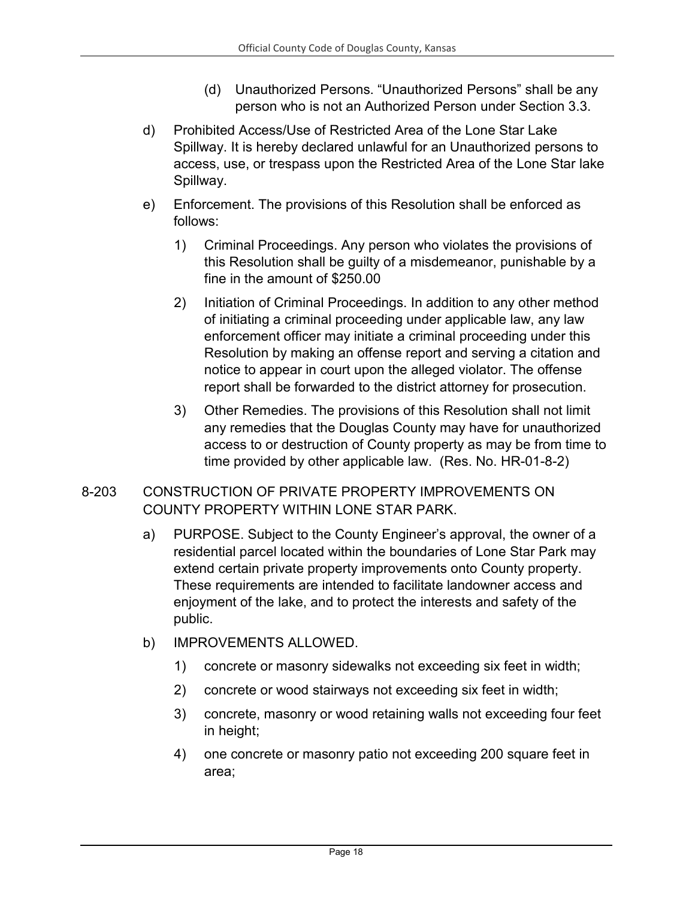- (d) Unauthorized Persons. "Unauthorized Persons" shall be any person who is not an Authorized Person under Section 3.3.
- d) Prohibited Access/Use of Restricted Area of the Lone Star Lake Spillway. It is hereby declared unlawful for an Unauthorized persons to access, use, or trespass upon the Restricted Area of the Lone Star lake Spillway.
- e) Enforcement. The provisions of this Resolution shall be enforced as follows:
	- 1) Criminal Proceedings. Any person who violates the provisions of this Resolution shall be guilty of a misdemeanor, punishable by a fine in the amount of \$250.00
	- 2) Initiation of Criminal Proceedings. In addition to any other method of initiating a criminal proceeding under applicable law, any law enforcement officer may initiate a criminal proceeding under this Resolution by making an offense report and serving a citation and notice to appear in court upon the alleged violator. The offense report shall be forwarded to the district attorney for prosecution.
	- 3) Other Remedies. The provisions of this Resolution shall not limit any remedies that the Douglas County may have for unauthorized access to or destruction of County property as may be from time to time provided by other applicable law. (Res. No. HR-01-8-2)
- 8-203 CONSTRUCTION OF PRIVATE PROPERTY IMPROVEMENTS ON COUNTY PROPERTY WITHIN LONE STAR PARK.
	- a) PURPOSE. Subject to the County Engineer's approval, the owner of a residential parcel located within the boundaries of Lone Star Park may extend certain private property improvements onto County property. These requirements are intended to facilitate landowner access and enjoyment of the lake, and to protect the interests and safety of the public.
	- b) IMPROVEMENTS ALLOWED.
		- 1) concrete or masonry sidewalks not exceeding six feet in width;
		- 2) concrete or wood stairways not exceeding six feet in width;
		- 3) concrete, masonry or wood retaining walls not exceeding four feet in height;
		- 4) one concrete or masonry patio not exceeding 200 square feet in area;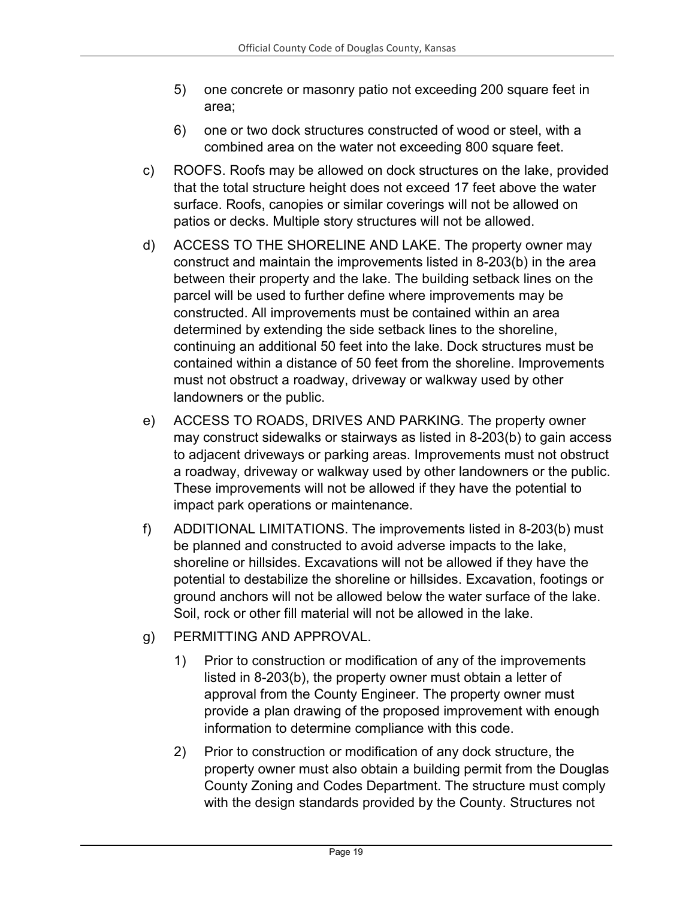- 5) one concrete or masonry patio not exceeding 200 square feet in area;
- 6) one or two dock structures constructed of wood or steel, with a combined area on the water not exceeding 800 square feet.
- c) ROOFS. Roofs may be allowed on dock structures on the lake, provided that the total structure height does not exceed 17 feet above the water surface. Roofs, canopies or similar coverings will not be allowed on patios or decks. Multiple story structures will not be allowed.
- d) ACCESS TO THE SHORELINE AND LAKE. The property owner may construct and maintain the improvements listed in 8-203(b) in the area between their property and the lake. The building setback lines on the parcel will be used to further define where improvements may be constructed. All improvements must be contained within an area determined by extending the side setback lines to the shoreline, continuing an additional 50 feet into the lake. Dock structures must be contained within a distance of 50 feet from the shoreline. Improvements must not obstruct a roadway, driveway or walkway used by other landowners or the public.
- e) ACCESS TO ROADS, DRIVES AND PARKING. The property owner may construct sidewalks or stairways as listed in 8-203(b) to gain access to adjacent driveways or parking areas. Improvements must not obstruct a roadway, driveway or walkway used by other landowners or the public. These improvements will not be allowed if they have the potential to impact park operations or maintenance.
- f) ADDITIONAL LIMITATIONS. The improvements listed in 8-203(b) must be planned and constructed to avoid adverse impacts to the lake, shoreline or hillsides. Excavations will not be allowed if they have the potential to destabilize the shoreline or hillsides. Excavation, footings or ground anchors will not be allowed below the water surface of the lake. Soil, rock or other fill material will not be allowed in the lake.
- g) PERMITTING AND APPROVAL.
	- 1) Prior to construction or modification of any of the improvements listed in 8-203(b), the property owner must obtain a letter of approval from the County Engineer. The property owner must provide a plan drawing of the proposed improvement with enough information to determine compliance with this code.
	- 2) Prior to construction or modification of any dock structure, the property owner must also obtain a building permit from the Douglas County Zoning and Codes Department. The structure must comply with the design standards provided by the County. Structures not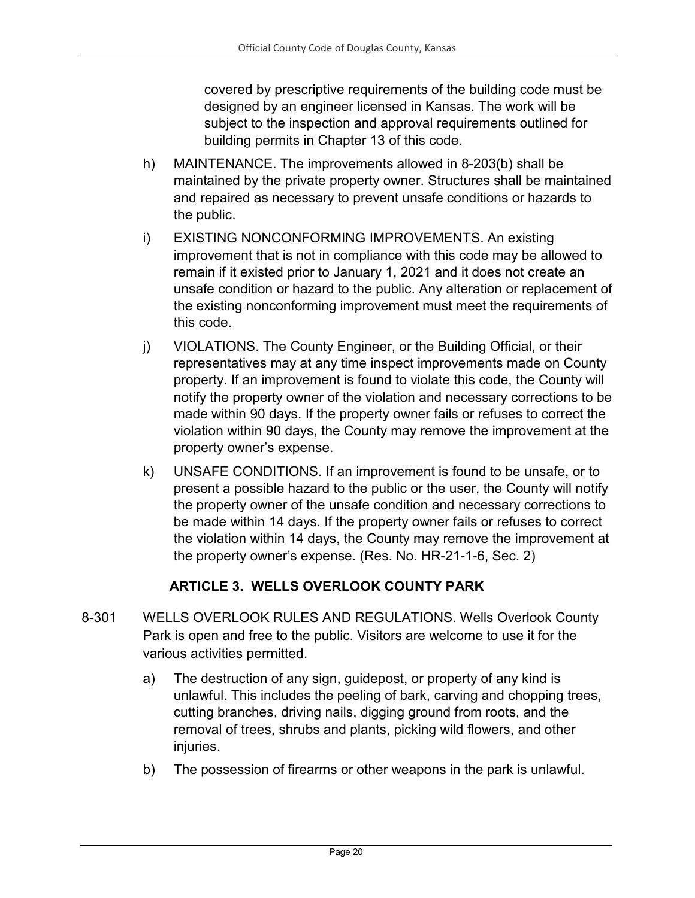covered by prescriptive requirements of the building code must be designed by an engineer licensed in Kansas. The work will be subject to the inspection and approval requirements outlined for building permits in Chapter 13 of this code.

- h) MAINTENANCE. The improvements allowed in 8-203(b) shall be maintained by the private property owner. Structures shall be maintained and repaired as necessary to prevent unsafe conditions or hazards to the public.
- i) EXISTING NONCONFORMING IMPROVEMENTS. An existing improvement that is not in compliance with this code may be allowed to remain if it existed prior to January 1, 2021 and it does not create an unsafe condition or hazard to the public. Any alteration or replacement of the existing nonconforming improvement must meet the requirements of this code.
- j) VIOLATIONS. The County Engineer, or the Building Official, or their representatives may at any time inspect improvements made on County property. If an improvement is found to violate this code, the County will notify the property owner of the violation and necessary corrections to be made within 90 days. If the property owner fails or refuses to correct the violation within 90 days, the County may remove the improvement at the property owner's expense.
- k) UNSAFE CONDITIONS. If an improvement is found to be unsafe, or to present a possible hazard to the public or the user, the County will notify the property owner of the unsafe condition and necessary corrections to be made within 14 days. If the property owner fails or refuses to correct the violation within 14 days, the County may remove the improvement at the property owner's expense. (Res. No. HR-21-1-6, Sec. 2)

## **ARTICLE 3. WELLS OVERLOOK COUNTY PARK**

- <span id="page-19-0"></span>8-301 WELLS OVERLOOK RULES AND REGULATIONS. Wells Overlook County Park is open and free to the public. Visitors are welcome to use it for the various activities permitted.
	- a) The destruction of any sign, guidepost, or property of any kind is unlawful. This includes the peeling of bark, carving and chopping trees, cutting branches, driving nails, digging ground from roots, and the removal of trees, shrubs and plants, picking wild flowers, and other injuries.
	- b) The possession of firearms or other weapons in the park is unlawful.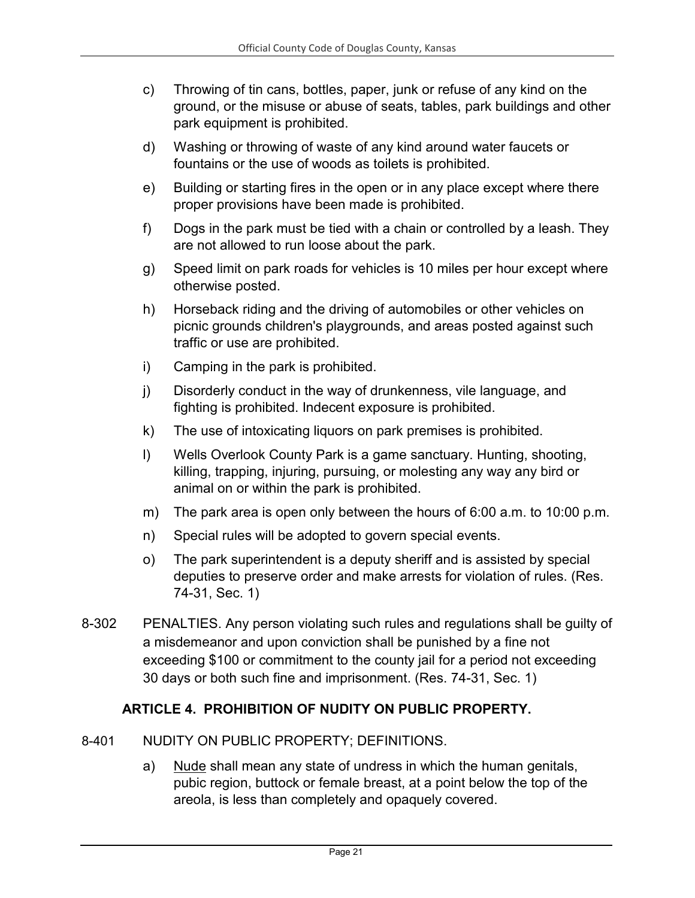- c) Throwing of tin cans, bottles, paper, junk or refuse of any kind on the ground, or the misuse or abuse of seats, tables, park buildings and other park equipment is prohibited.
- d) Washing or throwing of waste of any kind around water faucets or fountains or the use of woods as toilets is prohibited.
- e) Building or starting fires in the open or in any place except where there proper provisions have been made is prohibited.
- f) Dogs in the park must be tied with a chain or controlled by a leash. They are not allowed to run loose about the park.
- g) Speed limit on park roads for vehicles is 10 miles per hour except where otherwise posted.
- h) Horseback riding and the driving of automobiles or other vehicles on picnic grounds children's playgrounds, and areas posted against such traffic or use are prohibited.
- i) Camping in the park is prohibited.
- j) Disorderly conduct in the way of drunkenness, vile language, and fighting is prohibited. Indecent exposure is prohibited.
- k) The use of intoxicating liquors on park premises is prohibited.
- l) Wells Overlook County Park is a game sanctuary. Hunting, shooting, killing, trapping, injuring, pursuing, or molesting any way any bird or animal on or within the park is prohibited.
- m) The park area is open only between the hours of 6:00 a.m. to 10:00 p.m.
- n) Special rules will be adopted to govern special events.
- o) The park superintendent is a deputy sheriff and is assisted by special deputies to preserve order and make arrests for violation of rules. (Res. 74-31, Sec. 1)
- 8-302 PENALTIES. Any person violating such rules and regulations shall be guilty of a misdemeanor and upon conviction shall be punished by a fine not exceeding \$100 or commitment to the county jail for a period not exceeding 30 days or both such fine and imprisonment. (Res. 74-31, Sec. 1)

#### **ARTICLE 4. PROHIBITION OF NUDITY ON PUBLIC PROPERTY.**

- <span id="page-20-0"></span>8-401 NUDITY ON PUBLIC PROPERTY; DEFINITIONS.
	- a) Nude shall mean any state of undress in which the human genitals, pubic region, buttock or female breast, at a point below the top of the areola, is less than completely and opaquely covered.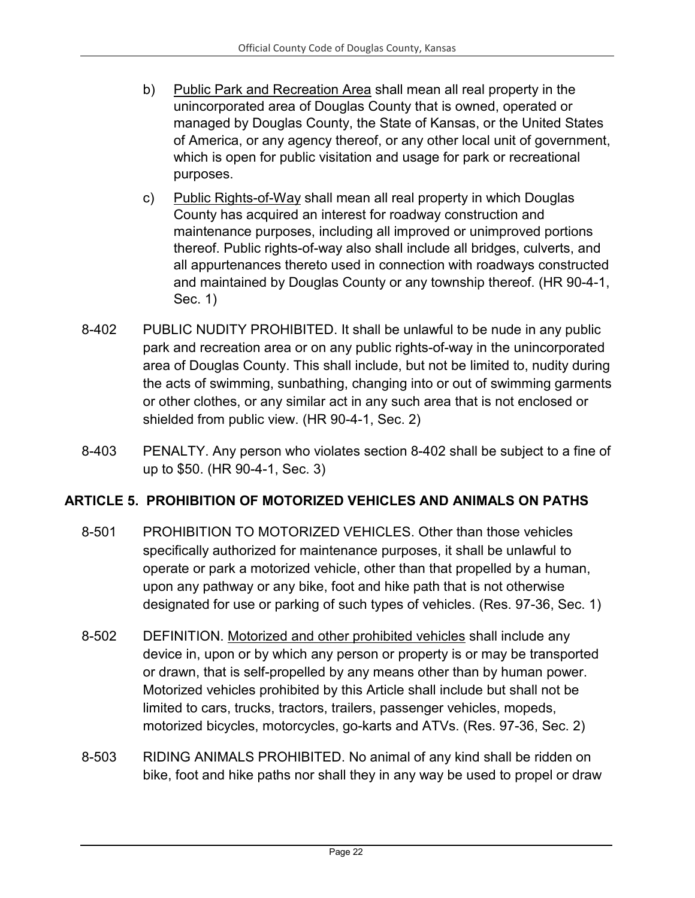- b) Public Park and Recreation Area shall mean all real property in the unincorporated area of Douglas County that is owned, operated or managed by Douglas County, the State of Kansas, or the United States of America, or any agency thereof, or any other local unit of government, which is open for public visitation and usage for park or recreational purposes.
- c) Public Rights-of-Way shall mean all real property in which Douglas County has acquired an interest for roadway construction and maintenance purposes, including all improved or unimproved portions thereof. Public rights-of-way also shall include all bridges, culverts, and all appurtenances thereto used in connection with roadways constructed and maintained by Douglas County or any township thereof. (HR 90-4-1, Sec. 1)
- 8-402 PUBLIC NUDITY PROHIBITED. It shall be unlawful to be nude in any public park and recreation area or on any public rights-of-way in the unincorporated area of Douglas County. This shall include, but not be limited to, nudity during the acts of swimming, sunbathing, changing into or out of swimming garments or other clothes, or any similar act in any such area that is not enclosed or shielded from public view. (HR 90-4-1, Sec. 2)
- 8-403 PENALTY. Any person who violates section 8-402 shall be subject to a fine of up to \$50. (HR 90-4-1, Sec. 3)

## <span id="page-21-0"></span>**ARTICLE 5. PROHIBITION OF MOTORIZED VEHICLES AND ANIMALS ON PATHS**

- 8-501 PROHIBITION TO MOTORIZED VEHICLES. Other than those vehicles specifically authorized for maintenance purposes, it shall be unlawful to operate or park a motorized vehicle, other than that propelled by a human, upon any pathway or any bike, foot and hike path that is not otherwise designated for use or parking of such types of vehicles. (Res. 97-36, Sec. 1)
- 8-502 DEFINITION. Motorized and other prohibited vehicles shall include any device in, upon or by which any person or property is or may be transported or drawn, that is self-propelled by any means other than by human power. Motorized vehicles prohibited by this Article shall include but shall not be limited to cars, trucks, tractors, trailers, passenger vehicles, mopeds, motorized bicycles, motorcycles, go-karts and ATVs. (Res. 97-36, Sec. 2)
- 8-503 RIDING ANIMALS PROHIBITED. No animal of any kind shall be ridden on bike, foot and hike paths nor shall they in any way be used to propel or draw